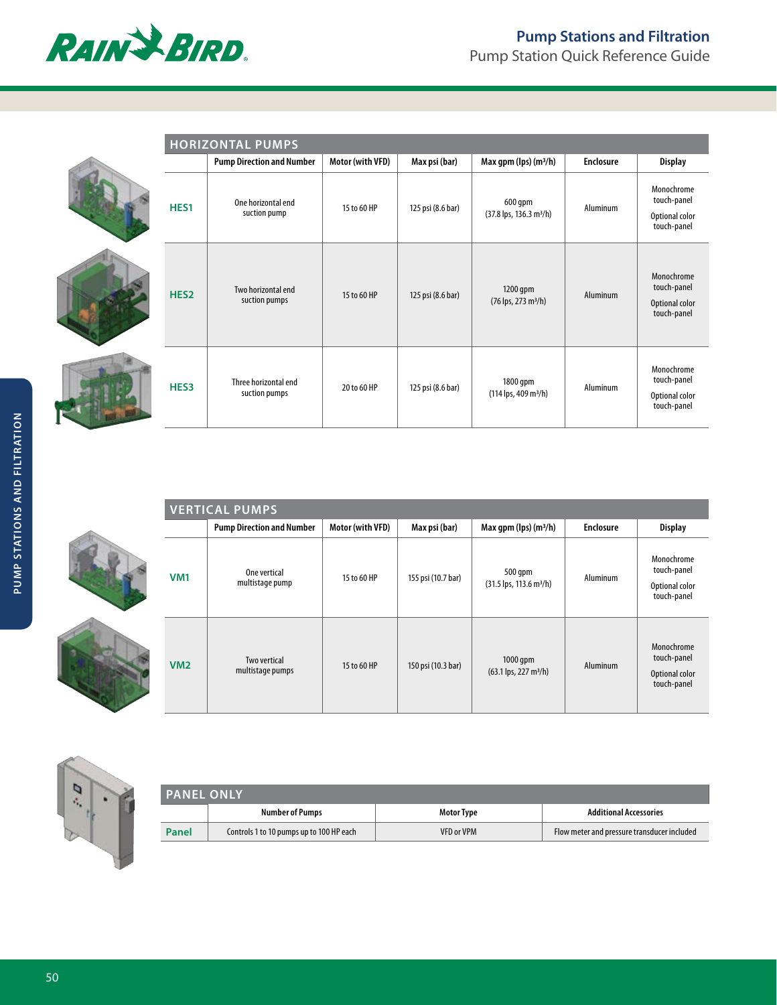

|                  | <b>HORIZONTAL PUMPS</b>               |                  |                   |                                                             |                  |                                                            |
|------------------|---------------------------------------|------------------|-------------------|-------------------------------------------------------------|------------------|------------------------------------------------------------|
|                  | <b>Pump Direction and Number</b>      | Motor (with VFD) | Max psi (bar)     | Max gpm (lps) (m <sup>3</sup> /h)                           | <b>Enclosure</b> | <b>Display</b>                                             |
| HES1             | One horizontal end<br>suction pump    | 15 to 60 HP      | 125 psi (8.6 bar) | 600 gpm<br>$(37.8 \text{ lps}, 136.3 \text{ m}^3/\text{h})$ | Aluminum         | Monochrome<br>touch-panel<br>Optional color<br>touch-panel |
| HES <sub>2</sub> | Two horizontal end<br>suction pumps   | 15 to 60 HP      | 125 psi (8.6 bar) | 1200 gpm<br>(76 lps, 273 m <sup>3</sup> /h)                 | Aluminum         | Monochrome<br>touch-panel<br>Optional color<br>touch-panel |
| HES3             | Three horizontal end<br>suction pumps | 20 to 60 HP      | 125 psi (8.6 bar) | 1800 gpm<br>$(114 \text{ lps}, 409 \text{ m}^3/\text{h})$   | Aluminum         | Monochrome<br>touch-panel<br>Optional color<br>touch-panel |

| <b>VERTICAL PUMPS</b> |                                  |                  |                    |                                                              |                  |                                                            |
|-----------------------|----------------------------------|------------------|--------------------|--------------------------------------------------------------|------------------|------------------------------------------------------------|
|                       | <b>Pump Direction and Number</b> | Motor (with VFD) | Max psi (bar)      | Max qpm (lps) $(m^3/h)$                                      | <b>Enclosure</b> | <b>Display</b>                                             |
| <b>VM1</b>            | One vertical<br>multistage pump  | 15 to 60 HP      | 155 psi (10.7 bar) | 500 qpm<br>$(31.5 \text{ lps}, 113.6 \text{ m}^3/\text{h})$  | Aluminum         | Monochrome<br>touch-panel<br>Optional color<br>touch-panel |
| <b>VM2</b>            | Two vertical<br>multistage pumps | 15 to 60 HP      | 150 psi (10.3 bar) | $1000$ gpm<br>$(63.1 \text{ lps}, 227 \text{ m}^3/\text{h})$ | Aluminum         | Monochrome<br>touch-panel<br>Optional color<br>touch-panel |



| <b>PANEL ONLY</b> |                                          |                   |                                             |  |
|-------------------|------------------------------------------|-------------------|---------------------------------------------|--|
|                   | <b>Number of Pumps</b>                   | <b>Motor Type</b> | <b>Additional Accessories</b>               |  |
| Panel             | Controls 1 to 10 pumps up to 100 HP each | <b>VFD or VPM</b> | Flow meter and pressure transducer included |  |